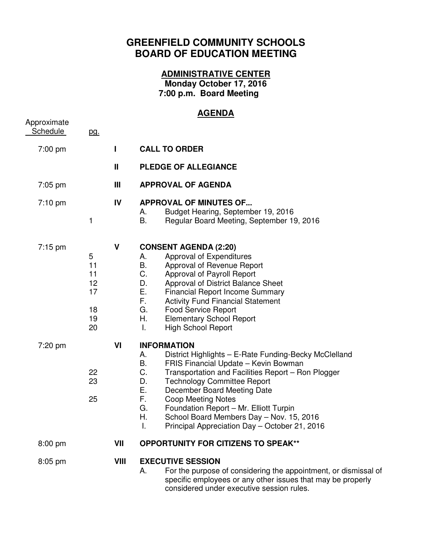## **GREENFIELD COMMUNITY SCHOOLS BOARD OF EDUCATION MEETING**

## **ADMINISTRATIVE CENTER**

**Monday October 17, 2016 7:00 p.m. Board Meeting** 

## **AGENDA**

| Approximate<br>Schedule | pg.                                         |      |                                                                                                                                                                                                                                                                                                                                                                                                                                                                          |
|-------------------------|---------------------------------------------|------|--------------------------------------------------------------------------------------------------------------------------------------------------------------------------------------------------------------------------------------------------------------------------------------------------------------------------------------------------------------------------------------------------------------------------------------------------------------------------|
| 7:00 pm                 |                                             | ı    | <b>CALL TO ORDER</b>                                                                                                                                                                                                                                                                                                                                                                                                                                                     |
|                         |                                             | Ш    | <b>PLEDGE OF ALLEGIANCE</b>                                                                                                                                                                                                                                                                                                                                                                                                                                              |
| $7:05$ pm               |                                             | Ш    | <b>APPROVAL OF AGENDA</b>                                                                                                                                                                                                                                                                                                                                                                                                                                                |
| $7:10$ pm               | 1                                           | IV   | <b>APPROVAL OF MINUTES OF</b><br>Budget Hearing, September 19, 2016<br>А.<br>В.<br>Regular Board Meeting, September 19, 2016                                                                                                                                                                                                                                                                                                                                             |
| $7:15$ pm               | 5<br>11<br>11<br>12<br>17<br>18<br>19<br>20 | V    | <b>CONSENT AGENDA (2:20)</b><br>Approval of Expenditures<br>А.<br>В.<br>Approval of Revenue Report<br>C.<br>Approval of Payroll Report<br>D.<br>Approval of District Balance Sheet<br>Е.<br><b>Financial Report Income Summary</b><br>F.,<br><b>Activity Fund Financial Statement</b><br><b>Food Service Report</b><br>G.<br>Η.<br><b>Elementary School Report</b><br><b>High School Report</b><br>T.                                                                    |
| 7:20 pm                 | 22<br>23<br>25                              | VI   | <b>INFORMATION</b><br>District Highlights - E-Rate Funding-Becky McClelland<br>А.<br>В.<br>FRIS Financial Update - Kevin Bowman<br>C.<br>Transportation and Facilities Report - Ron Plogger<br>D.<br><b>Technology Committee Report</b><br>Е.<br>December Board Meeting Date<br>F.<br><b>Coop Meeting Notes</b><br>G.<br>Foundation Report - Mr. Elliott Turpin<br>Η.<br>School Board Members Day - Nov. 15, 2016<br>Principal Appreciation Day - October 21, 2016<br>I. |
| 8:00 pm                 |                                             | VII  | <b>OPPORTUNITY FOR CITIZENS TO SPEAK**</b>                                                                                                                                                                                                                                                                                                                                                                                                                               |
| 8:05 pm                 |                                             | VIII | <b>EXECUTIVE SESSION</b><br>For the purpose of considering the appointment, or dismissal of<br>А.<br>specific employees or any other issues that may be properly<br>considered under executive session rules.                                                                                                                                                                                                                                                            |
|                         |                                             |      |                                                                                                                                                                                                                                                                                                                                                                                                                                                                          |